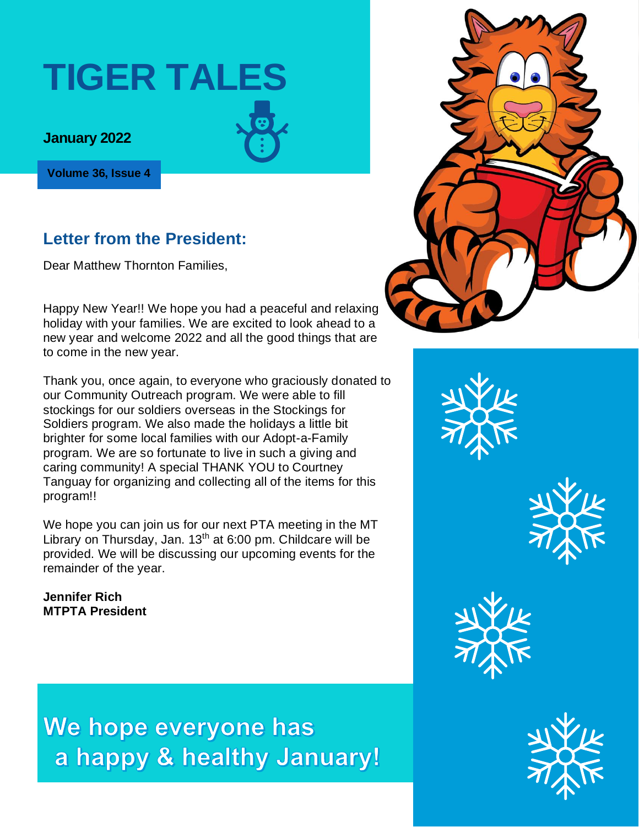# **TIGER TALES**

#### **January 2022**

**Volume 36, Issue 4**

#### **Letter from the President:**

Dear Matthew Thornton Families,

Happy New Year!! We hope you had a peaceful and relaxing **the with your family.** We are the with your family of the with your family. We are the with your family of the with your family. We are the with your family of the holiday with your families. We are excited to look ahead to a to come in the new year. The families who donated to our Community Outreach program leading up to our Community new year and welcome 2022 and all the good things that are

Thank you, once again, to everyone who graciously donated to the story program. Thanks to you and the story pro our Community Outreach program. We were able to fill **our community.** Such thanks to fill thanks to fill thanks to fill thanks to fill thanks to fill thanks to fill thanks to fill thanks to fill thanks to fill thanks to fi stockings for our soldiers overseas in the Stockings for **Stockings for** the Western Western Western Western Western Western Western Western Western Western Western Western Western Western Western Western Western Western W Soldiers program. We also made the holidays a little bit brighter for some local families with our Adopt-a-Family Caring community! A special THANK YOU to Courtney and Thursday, Jan. 20th at 6pm. We will have a Zoom pta meeting Tanguay for organizing and collecting all of the items for this  $\alpha$  have Ski Club starting on  $\mathcal{L}_{\text{max}}$  and the no bus that. There will be no bus that  $\mathcal{L}_{\text{max}}$ can meet at  $\mathcal{O}$ program. We are so fortunate to live in such a giving and program!!

Library on Thursday, Jan. 13<sup>th</sup> at 6:00 pm. Childcare will be We hope you can join us for our next PTA meeting in the MT provided. We will be discussing our upcoming events for the remainder of the year.

**Jennifer Rich MTPTA President**

We hope everyone has a happy & healthy January!



the holidays. Despite being at home, we were still able to fill stockings and donate many items to the Stockings for





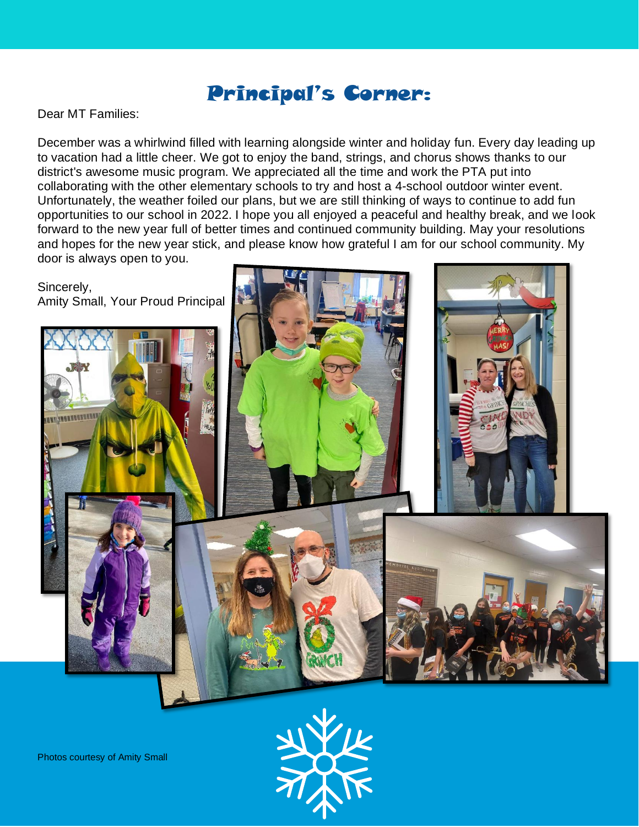#### Principal's Corner:

Dear MT Families:

December was a whirlwind filled with learning alongside winter and holiday fun. Every day leading up to vacation had a little cheer. We got to enjoy the band, strings, and chorus shows thanks to our district's awesome music program. We appreciated all the time and work the PTA put into collaborating with the other elementary schools to try and host a 4-school outdoor winter event. Unfortunately, the weather foiled our plans, but we are still thinking of ways to continue to add fun opportunities to our school in 2022. I hope you all enjoyed a peaceful and healthy break, and we look forward to the new year full of better times and continued community building. May your resolutions and hopes for the new year stick, and please know how grateful I am for our school community. My door is always open to you.





Photos courtesy of Amity Small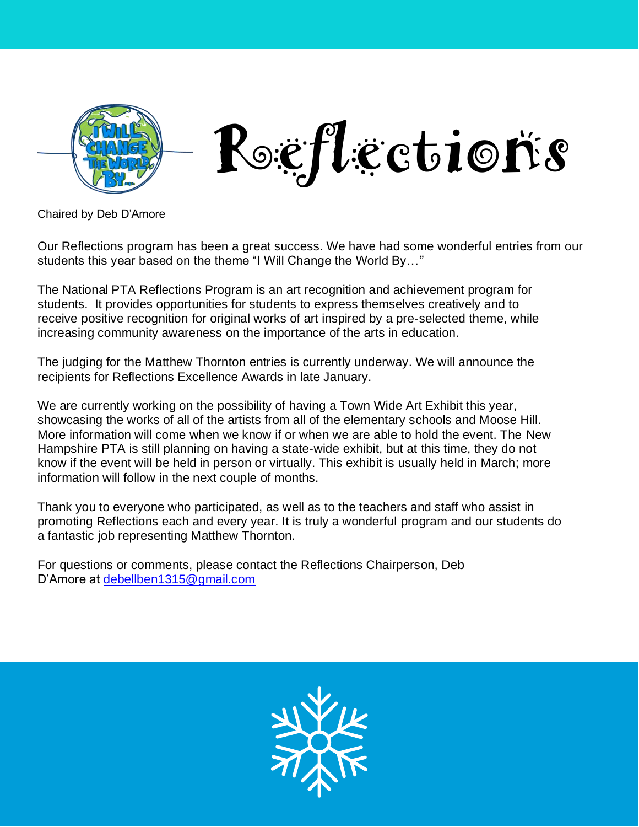

Chaired by Deb D'Amore

Our Reflections program has been a great success. We have had some wonderful entries from our students this year based on the theme "I Will Change the World By…"

The National PTA Reflections Program is an art recognition and achievement program for students. It provides opportunities for students to express themselves creatively and to receive positive recognition for original works of art inspired by a pre-selected theme, while increasing community awareness on the importance of the arts in education.

The judging for the Matthew Thornton entries is currently underway. We will announce the recipients for Reflections Excellence Awards in late January.

We are currently working on the possibility of having a Town Wide Art Exhibit this year, showcasing the works of all of the artists from all of the elementary schools and Moose Hill. More information will come when we know if or when we are able to hold the event. The New Hampshire PTA is still planning on having a state-wide exhibit, but at this time, they do not know if the event will be held in person or virtually. This exhibit is usually held in March; more information will follow in the next couple of months.

Thank you to everyone who participated, as well as to the teachers and staff who assist in promoting Reflections each and every year. It is truly a wonderful program and our students do a fantastic job representing Matthew Thornton.

For questions or comments, please contact the Reflections Chairperson, Deb D'Amore at [debellben1315@gmail.com](mailto:debellben1315@gmail.com)

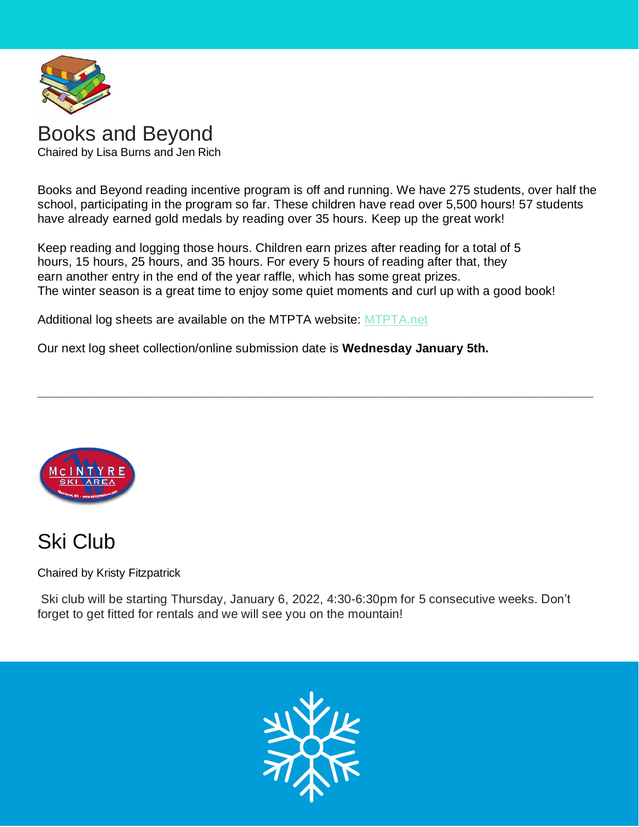

#### [Books](http://the1709blog.blogspot.com/2013/03/supreme-court-says-copyright-law-does.html) and Beyond

Chaired by Lisa Burns and Jen Rich

Book[s and B](https://creativecommons.org/licenses/by/3.0/)eyond reading incentive program is off and running. We have 275 students, over half the school, participating in the program so far. These children have read over 5,500 hours! 57 students have already earned gold medals by reading over 35 hours. Keep up the great work!

**\_\_\_\_\_\_\_\_\_\_\_\_\_\_\_\_\_\_\_\_\_\_\_\_\_\_\_\_\_\_\_\_\_\_\_\_\_\_\_\_\_\_\_\_\_\_\_\_\_\_\_\_\_\_\_\_\_\_\_\_\_\_\_\_\_\_\_\_\_\_\_\_\_\_\_\_\_\_\_\_**

Keep reading and logging those hours. Children earn prizes after reading for a total of 5 hours, 15 hours, 25 hours, and 35 hours. For every 5 hours of reading after that, they earn another entry in the end of the year raffle, which has some great prizes. The winter season is a great time to enjoy some quiet moments and curl up with a good book!

Additional log sheets are available on the MTPTA website: [MTPTA.net](https://docs.google.com/document/d/1L3LTv9M_g6YVKjP-dI7m66fTQZWP3yww/edit?usp=sharing&ouid=112421811642869798659&rtpof=true&sd=true)

Our next log sheet collection/online submission date is **Wednesday January 5th.**



### Ski Club

Chaired by Kristy Fitzpatrick

Ski club will be starting Thursday, January 6, 2022, 4:30-6:30pm for 5 consecutive weeks. Don't forget to get fitted for rentals and we will see you on the mountain!